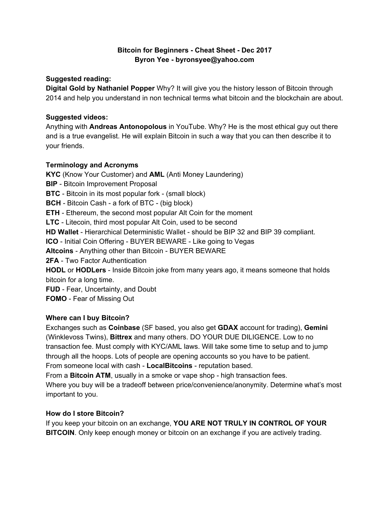# **Bitcoin for Beginners - Cheat Sheet - Dec 2017 Byron Yee - byronsyee@yahoo.com**

### **Suggested reading:**

**Digital Gold by Nathaniel Popper** Why? It will give you the history lesson of Bitcoin through 2014 and help you understand in non technical terms what bitcoin and the blockchain are about.

#### **Suggested videos:**

Anything with **Andreas Antonopolous** in YouTube. Why? He is the most ethical guy out there and is a true evangelist. He will explain Bitcoin in such a way that you can then describe it to your friends.

### **Terminology and Acronyms**

**KYC** (Know Your Customer) and **AML** (Anti Money Laundering) **BIP** - Bitcoin Improvement Proposal **BTC** - Bitcoin in its most popular fork - (small block) **BCH** - Bitcoin Cash - a fork of BTC - (big block) **ETH** - Ethereum, the second most popular Alt Coin for the moment **LTC** - Litecoin, third most popular Alt Coin, used to be second **HD Wallet** - Hierarchical Deterministic Wallet - should be BIP 32 and BIP 39 compliant. **ICO** - Initial Coin Offering - BUYER BEWARE - Like going to Vegas **Altcoins** - Anything other than Bitcoin - BUYER BEWARE **2FA** - Two Factor Authentication **HODL** or **HODLers** - Inside Bitcoin joke from many years ago, it means someone that holds bitcoin for a long time. **FUD** - Fear, Uncertainty, and Doubt **FOMO** - Fear of Missing Out

### **Where can I buy Bitcoin?**

Exchanges such as **Coinbase** (SF based, you also get **GDAX** account for trading), **Gemini** (Winklevoss Twins), **Bittrex** and many others. DO YOUR DUE DILIGENCE. Low to no transaction fee. Must comply with KYC/AML laws. Will take some time to setup and to jump through all the hoops. Lots of people are opening accounts so you have to be patient. From someone local with cash - **LocalBitcoins** - reputation based.

From a **Bitcoin ATM**, usually in a smoke or vape shop - high transaction fees.

Where you buy will be a tradeoff between price/convenience/anonymity. Determine what's most important to you.

### **How do I store Bitcoin?**

If you keep your bitcoin on an exchange, **YOU ARE NOT TRULY IN CONTROL OF YOUR BITCOIN**. Only keep enough money or bitcoin on an exchange if you are actively trading.